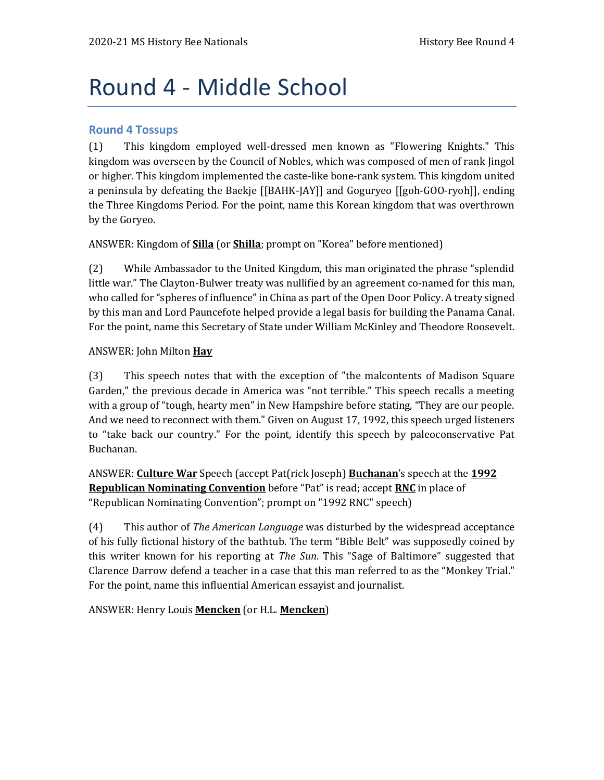# Round 4 - Middle School

## **Round 4 Tossups**

(1) This kingdom employed well-dressed men known as "Flowering Knights." This kingdom was overseen by the Council of Nobles, which was composed of men of rank Jingol or higher. This kingdom implemented the caste-like bone-rank system. This kingdom united a peninsula by defeating the Baekje [[BAHK-JAY]] and Goguryeo [[goh-GOO-ryoh]], ending the Three Kingdoms Period. For the point, name this Korean kingdom that was overthrown by the Goryeo.

ANSWER: Kingdom of **Silla** (or **Shilla**; prompt on "Korea" before mentioned)

(2) While Ambassador to the United Kingdom, this man originated the phrase "splendid little war." The Clayton-Bulwer treaty was nullified by an agreement co-named for this man, who called for "spheres of influence" in China as part of the Open Door Policy. A treaty signed by this man and Lord Pauncefote helped provide a legal basis for building the Panama Canal. For the point, name this Secretary of State under William McKinley and Theodore Roosevelt.

#### ANSWER: John Milton **Hay**

(3) This speech notes that with the exception of "the malcontents of Madison Square Garden," the previous decade in America was "not terrible." This speech recalls a meeting with a group of "tough, hearty men" in New Hampshire before stating, "They are our people. And we need to reconnect with them." Given on August 17, 1992, this speech urged listeners to "take back our country." For the point, identify this speech by paleoconservative Pat Buchanan.

ANSWER: **Culture War** Speech (accept Pat(rick Joseph) **Buchanan**'s speech at the **1992 Republican Nominating Convention** before "Pat" is read; accept **RNC** in place of "Republican Nominating Convention"; prompt on "1992 RNC" speech)

(4) This author of *The American Language* was disturbed by the widespread acceptance of his fully fictional history of the bathtub. The term "Bible Belt" was supposedly coined by this writer known for his reporting at *The Sun*. This "Sage of Baltimore" suggested that Clarence Darrow defend a teacher in a case that this man referred to as the "Monkey Trial." For the point, name this influential American essayist and journalist.

ANSWER: Henry Louis **Mencken** (or H.L. **Mencken**)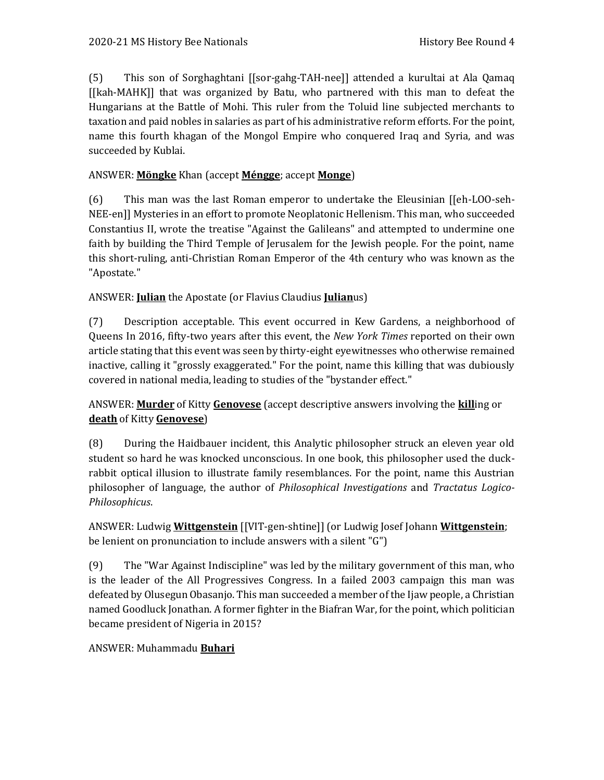(5) This son of Sorghaghtani [[sor-gahg-TAH-nee]] attended a kurultai at Ala Qamaq [[kah-MAHK]] that was organized by Batu, who partnered with this man to defeat the Hungarians at the Battle of Mohi. This ruler from the Toluid line subjected merchants to taxation and paid nobles in salaries as part of his administrative reform efforts. For the point, name this fourth khagan of the Mongol Empire who conquered Iraq and Syria, and was succeeded by Kublai.

# ANSWER: **Möngke** Khan (accept **Méngge**; accept **Monge**)

(6) This man was the last Roman emperor to undertake the Eleusinian [[eh-LOO-seh-NEE-en]] Mysteries in an effort to promote Neoplatonic Hellenism. This man, who succeeded Constantius II, wrote the treatise "Against the Galileans" and attempted to undermine one faith by building the Third Temple of Jerusalem for the Jewish people. For the point, name this short-ruling, anti-Christian Roman Emperor of the 4th century who was known as the "Apostate."

# ANSWER: **Julian** the Apostate (or Flavius Claudius **Julian**us)

(7) Description acceptable. This event occurred in Kew Gardens, a neighborhood of Queens In 2016, fifty-two years after this event, the *New York Times* reported on their own article stating that this event was seen by thirty-eight eyewitnesses who otherwise remained inactive, calling it "grossly exaggerated." For the point, name this killing that was dubiously covered in national media, leading to studies of the "bystander effect."

# ANSWER: **Murder** of Kitty **Genovese** (accept descriptive answers involving the **kill**ing or **death** of Kitty **Genovese**)

(8) During the Haidbauer incident, this Analytic philosopher struck an eleven year old student so hard he was knocked unconscious. In one book, this philosopher used the duckrabbit optical illusion to illustrate family resemblances. For the point, name this Austrian philosopher of language, the author of *Philosophical Investigations* and *Tractatus Logico-Philosophicus*.

ANSWER: Ludwig **Wittgenstein** [[VIT-gen-shtine]] (or Ludwig Josef Johann **Wittgenstein**; be lenient on pronunciation to include answers with a silent "G")

(9) The "War Against Indiscipline" was led by the military government of this man, who is the leader of the All Progressives Congress. In a failed 2003 campaign this man was defeated by Olusegun Obasanjo. This man succeeded a member of the Ijaw people, a Christian named Goodluck Jonathan. A former fighter in the Biafran War, for the point, which politician became president of Nigeria in 2015?

#### ANSWER: Muhammadu **Buhari**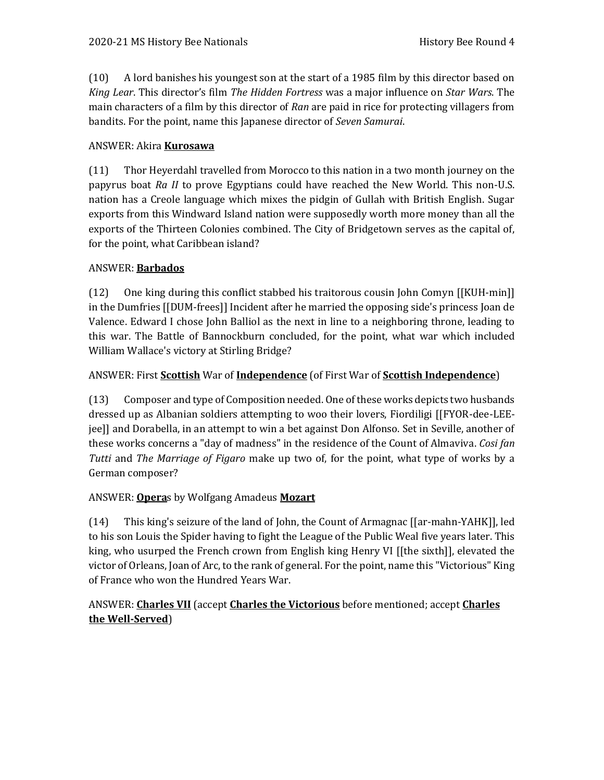(10) A lord banishes his youngest son at the start of a 1985 film by this director based on *King Lear*. This director's film *The Hidden Fortress* was a major influence on *Star Wars*. The main characters of a film by this director of *Ran* are paid in rice for protecting villagers from bandits. For the point, name this Japanese director of *Seven Samurai*.

## ANSWER: Akira **Kurosawa**

(11) Thor Heyerdahl travelled from Morocco to this nation in a two month journey on the papyrus boat *Ra II* to prove Egyptians could have reached the New World. This non-U.S. nation has a Creole language which mixes the pidgin of Gullah with British English. Sugar exports from this Windward Island nation were supposedly worth more money than all the exports of the Thirteen Colonies combined. The City of Bridgetown serves as the capital of, for the point, what Caribbean island?

#### ANSWER: **Barbados**

(12) One king during this conflict stabbed his traitorous cousin John Comyn [[KUH-min]] in the Dumfries [[DUM-frees]] Incident after he married the opposing side's princess Joan de Valence. Edward I chose John Balliol as the next in line to a neighboring throne, leading to this war. The Battle of Bannockburn concluded, for the point, what war which included William Wallace's victory at Stirling Bridge?

# ANSWER: First **Scottish** War of **Independence** (of First War of **Scottish Independence**)

(13) Composer and type of Composition needed. One of these works depicts two husbands dressed up as Albanian soldiers attempting to woo their lovers, Fiordiligi [[FYOR-dee-LEEjee]] and Dorabella, in an attempt to win a bet against Don Alfonso. Set in Seville, another of these works concerns a "day of madness" in the residence of the Count of Almaviva. *Cosi fan Tutti* and *The Marriage of Figaro* make up two of, for the point, what type of works by a German composer?

#### ANSWER: **Opera**s by Wolfgang Amadeus **Mozart**

(14) This king's seizure of the land of John, the Count of Armagnac [[ar-mahn-YAHK]], led to his son Louis the Spider having to fight the League of the Public Weal five years later. This king, who usurped the French crown from English king Henry VI [[the sixth]], elevated the victor of Orleans, Joan of Arc, to the rank of general. For the point, name this "Victorious" King of France who won the Hundred Years War.

# ANSWER: **Charles VII** (accept **Charles the Victorious** before mentioned; accept **Charles the Well-Served**)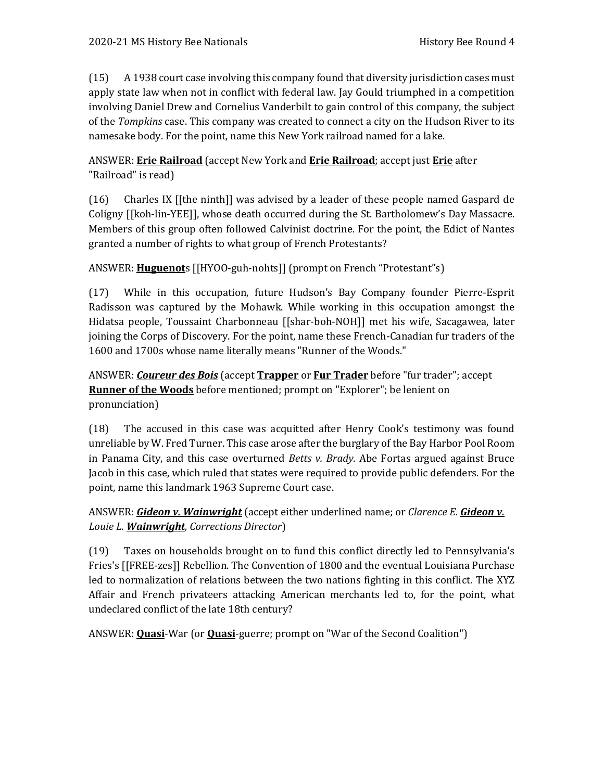(15) A 1938 court case involving this company found that diversity jurisdiction cases must apply state law when not in conflict with federal law. Jay Gould triumphed in a competition involving Daniel Drew and Cornelius Vanderbilt to gain control of this company, the subject of the *Tompkins* case. This company was created to connect a city on the Hudson River to its namesake body. For the point, name this New York railroad named for a lake.

ANSWER: **Erie Railroad** (accept New York and **Erie Railroad**; accept just **Erie** after "Railroad" is read)

(16) Charles IX [[the ninth]] was advised by a leader of these people named Gaspard de Coligny [[koh-lin-YEE]], whose death occurred during the St. Bartholomew's Day Massacre. Members of this group often followed Calvinist doctrine. For the point, the Edict of Nantes granted a number of rights to what group of French Protestants?

ANSWER: **Huguenot**s [[HYOO-guh-nohts]] (prompt on French "Protestant"s)

(17) While in this occupation, future Hudson's Bay Company founder Pierre-Esprit Radisson was captured by the Mohawk. While working in this occupation amongst the Hidatsa people, Toussaint Charbonneau [[shar-boh-NOH]] met his wife, Sacagawea, later joining the Corps of Discovery. For the point, name these French-Canadian fur traders of the 1600 and 1700s whose name literally means "Runner of the Woods."

ANSWER: *Coureur des Bois* (accept **Trapper** or **Fur Trader** before "fur trader"; accept **Runner of the Woods** before mentioned; prompt on "Explorer"; be lenient on pronunciation)

(18) The accused in this case was acquitted after Henry Cook's testimony was found unreliable by W. Fred Turner. This case arose after the burglary of the Bay Harbor Pool Room in Panama City, and this case overturned *Betts v. Brady*. Abe Fortas argued against Bruce Jacob in this case, which ruled that states were required to provide public defenders. For the point, name this landmark 1963 Supreme Court case.

ANSWER: *Gideon v. Wainwright* (accept either underlined name; or *Clarence E. Gideon v. Louie L. Wainwright, Corrections Director*)

(19) Taxes on households brought on to fund this conflict directly led to Pennsylvania's Fries's [[FREE-zes]] Rebellion. The Convention of 1800 and the eventual Louisiana Purchase led to normalization of relations between the two nations fighting in this conflict. The XYZ Affair and French privateers attacking American merchants led to, for the point, what undeclared conflict of the late 18th century?

ANSWER: **Quasi**-War (or **Quasi**-guerre; prompt on "War of the Second Coalition")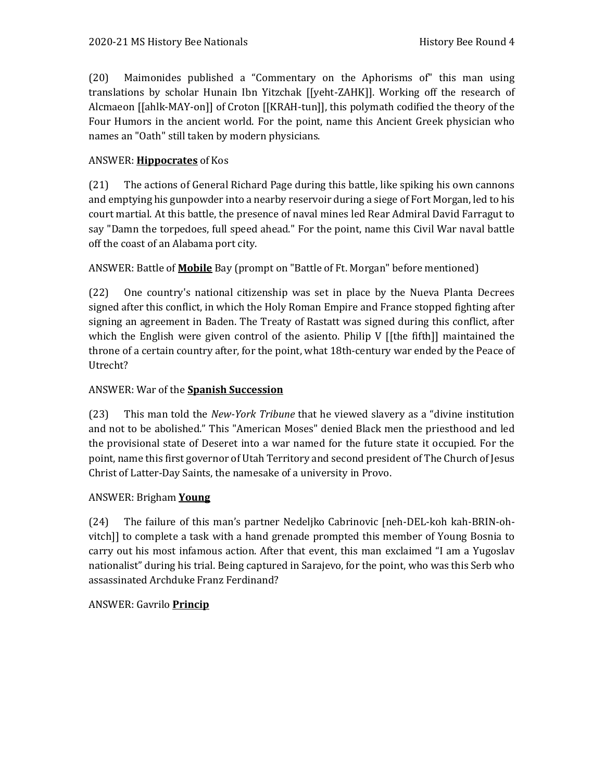(20) Maimonides published a "Commentary on the Aphorisms of" this man using translations by scholar Hunain Ibn Yitzchak [[yeht-ZAHK]]. Working off the research of Alcmaeon [[ahlk-MAY-on]] of Croton [[KRAH-tun]], this polymath codified the theory of the Four Humors in the ancient world. For the point, name this Ancient Greek physician who names an "Oath" still taken by modern physicians.

# ANSWER: **Hippocrates** of Kos

(21) The actions of General Richard Page during this battle, like spiking his own cannons and emptying his gunpowder into a nearby reservoir during a siege of Fort Morgan, led to his court martial. At this battle, the presence of naval mines led Rear Admiral David Farragut to say "Damn the torpedoes, full speed ahead." For the point, name this Civil War naval battle off the coast of an Alabama port city.

ANSWER: Battle of **Mobile** Bay (prompt on "Battle of Ft. Morgan" before mentioned)

(22) One country's national citizenship was set in place by the Nueva Planta Decrees signed after this conflict, in which the Holy Roman Empire and France stopped fighting after signing an agreement in Baden. The Treaty of Rastatt was signed during this conflict, after which the English were given control of the asiento. Philip V [[the fifth]] maintained the throne of a certain country after, for the point, what 18th-century war ended by the Peace of Utrecht?

#### ANSWER: War of the **Spanish Succession**

(23) This man told the *New-York Tribune* that he viewed slavery as a "divine institution and not to be abolished." This "American Moses" denied Black men the priesthood and led the provisional state of Deseret into a war named for the future state it occupied. For the point, name this first governor of Utah Territory and second president of The Church of Jesus Christ of Latter-Day Saints, the namesake of a university in Provo.

#### ANSWER: Brigham **Young**

(24) The failure of this man's partner Nedeljko Cabrinovic [neh-DEL-koh kah-BRIN-ohvitch]] to complete a task with a hand grenade prompted this member of Young Bosnia to carry out his most infamous action. After that event, this man exclaimed "I am a Yugoslav nationalist" during his trial. Being captured in Sarajevo, for the point, who was this Serb who assassinated Archduke Franz Ferdinand?

#### ANSWER: Gavrilo **Princip**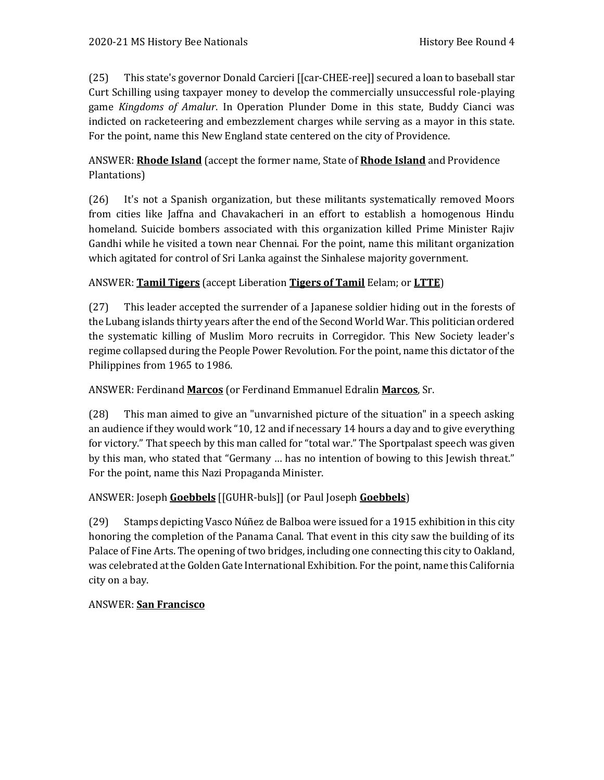(25) This state's governor Donald Carcieri [[car-CHEE-ree]] secured a loan to baseball star Curt Schilling using taxpayer money to develop the commercially unsuccessful role-playing game *Kingdoms of Amalur*. In Operation Plunder Dome in this state, Buddy Cianci was indicted on racketeering and embezzlement charges while serving as a mayor in this state. For the point, name this New England state centered on the city of Providence.

# ANSWER: **Rhode Island** (accept the former name, State of **Rhode Island** and Providence Plantations)

(26) It's not a Spanish organization, but these militants systematically removed Moors from cities like Jaffna and Chavakacheri in an effort to establish a homogenous Hindu homeland. Suicide bombers associated with this organization killed Prime Minister Rajiv Gandhi while he visited a town near Chennai. For the point, name this militant organization which agitated for control of Sri Lanka against the Sinhalese majority government.

# ANSWER: **Tamil Tigers** (accept Liberation **Tigers of Tamil** Eelam; or **LTTE**)

(27) This leader accepted the surrender of a Japanese soldier hiding out in the forests of the Lubang islands thirty years after the end of the Second World War. This politician ordered the systematic killing of Muslim Moro recruits in Corregidor. This New Society leader's regime collapsed during the People Power Revolution. For the point, name this dictator of the Philippines from 1965 to 1986.

# ANSWER: Ferdinand **Marcos** (or Ferdinand Emmanuel Edralin **Marcos**, Sr.

(28) This man aimed to give an "unvarnished picture of the situation" in a speech asking an audience if they would work "10, 12 and if necessary 14 hours a day and to give everything for victory." That speech by this man called for "total war." The Sportpalast speech was given by this man, who stated that "Germany … has no intention of bowing to this Jewish threat." For the point, name this Nazi Propaganda Minister.

#### ANSWER: Joseph **Goebbels** [[GUHR-buls]] (or Paul Joseph **Goebbels**)

(29) Stamps depicting Vasco Núñez de Balboa were issued for a 1915 exhibition in this city honoring the completion of the Panama Canal. That event in this city saw the building of its Palace of Fine Arts. The opening of two bridges, including one connecting this city to Oakland, was celebrated at the Golden Gate International Exhibition. For the point, name this California city on a bay.

#### ANSWER: **San Francisco**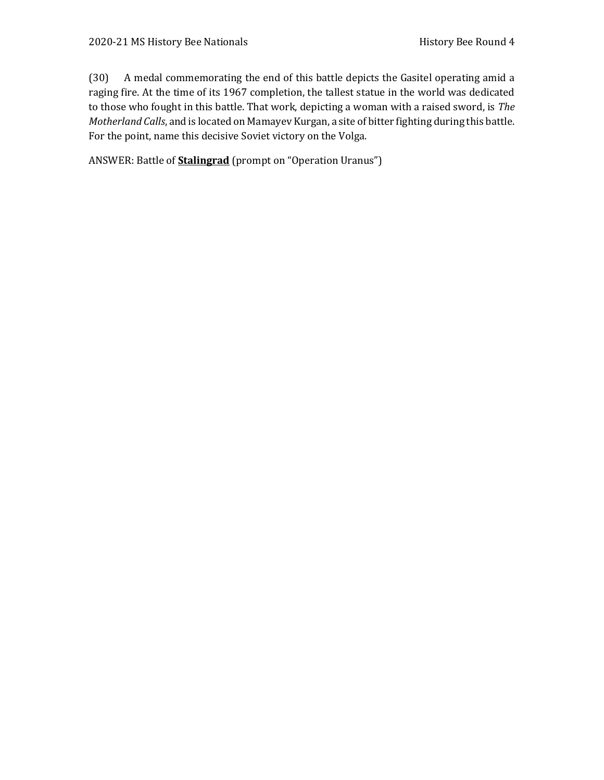(30) A medal commemorating the end of this battle depicts the Gasitel operating amid a raging fire. At the time of its 1967 completion, the tallest statue in the world was dedicated to those who fought in this battle. That work, depicting a woman with a raised sword, is *The Motherland Calls*, and is located on Mamayev Kurgan, a site of bitter fighting during this battle. For the point, name this decisive Soviet victory on the Volga.

ANSWER: Battle of **Stalingrad** (prompt on "Operation Uranus")